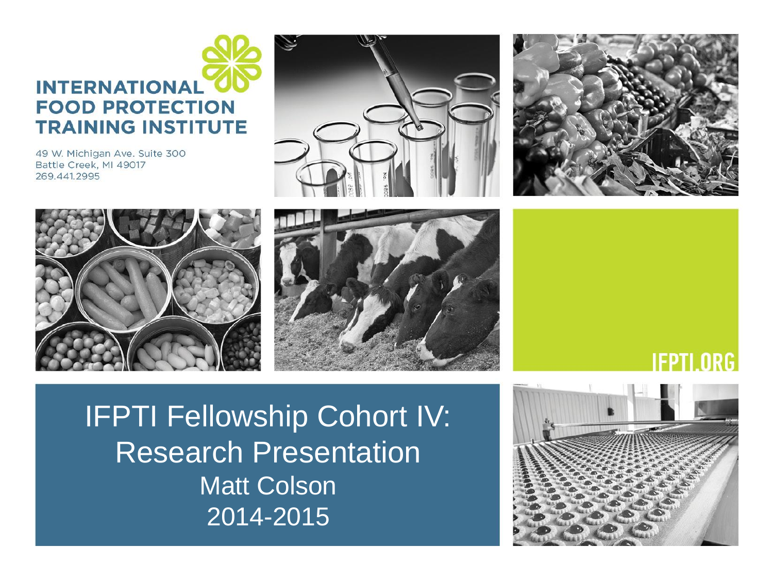#### **INTERNATIONAL FOOD PROTECTION TRAINING INSTITUTE**

49 W. Michigan Ave. Suite 300 Battle Creek, MI 49017 269.441.2995











IFPTI Fellowship Cohort IV: Research Presentation Matt Colson 2014-2015

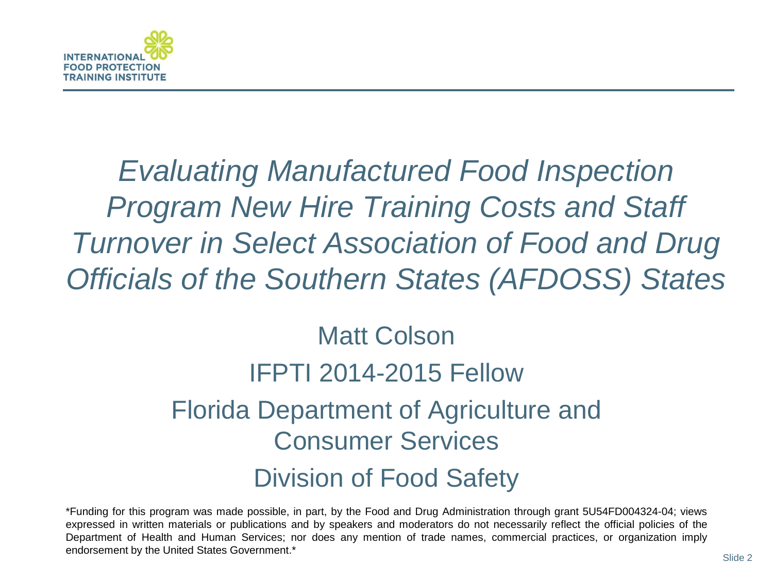

*Evaluating Manufactured Food Inspection Program New Hire Training Costs and Staff Turnover in Select Association of Food and Drug Officials of the Southern States (AFDOSS) States*

#### Matt Colson IFPTI 2014-2015 Fellow Florida Department of Agriculture and Consumer Services Division of Food Safety

\*Funding for this program was made possible, in part, by the Food and Drug Administration through grant 5U54FD004324-04; views expressed in written materials or publications and by speakers and moderators do not necessarily reflect the official policies of the Department of Health and Human Services; nor does any mention of trade names, commercial practices, or organization imply endorsement by the United States Government.\*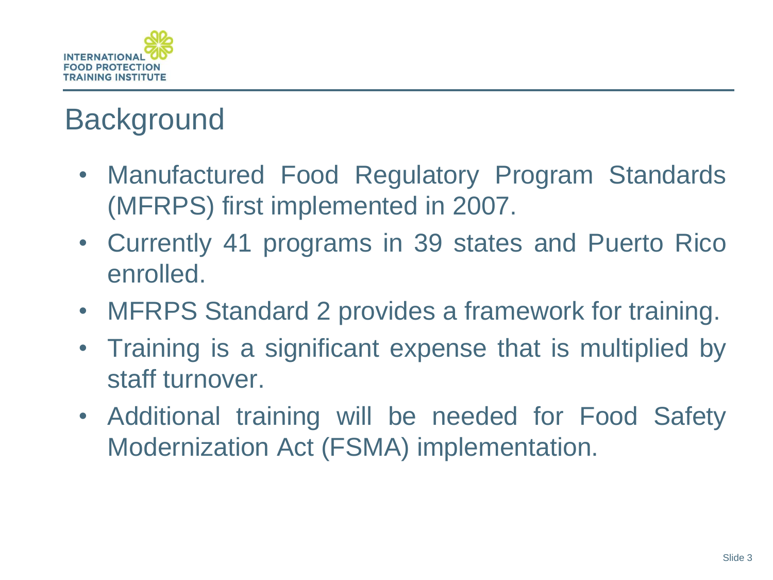

# **Background**

- Manufactured Food Regulatory Program Standards (MFRPS) first implemented in 2007.
- Currently 41 programs in 39 states and Puerto Rico enrolled.
- MFRPS Standard 2 provides a framework for training.
- Training is a significant expense that is multiplied by staff turnover.
- Additional training will be needed for Food Safety Modernization Act (FSMA) implementation.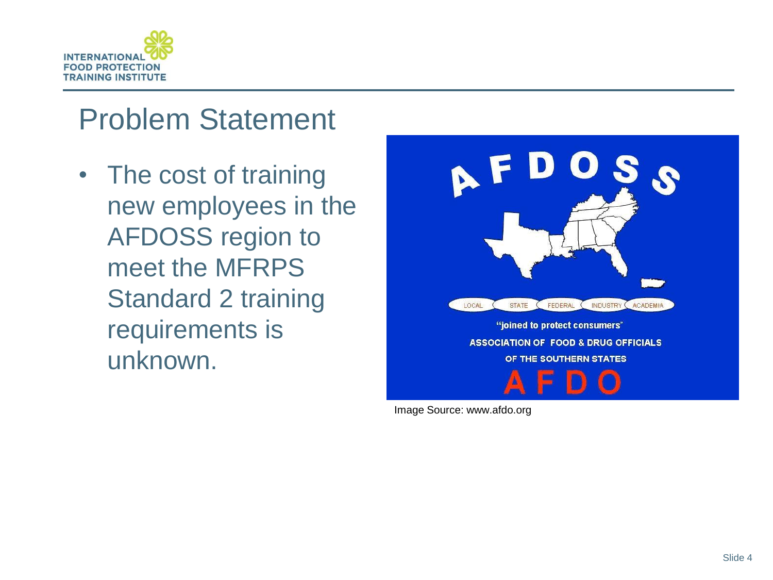

### Problem Statement

• The cost of training new employees in the AFDOSS region to meet the MFRPS Standard 2 training requirements is unknown.



Image Source: www.afdo.org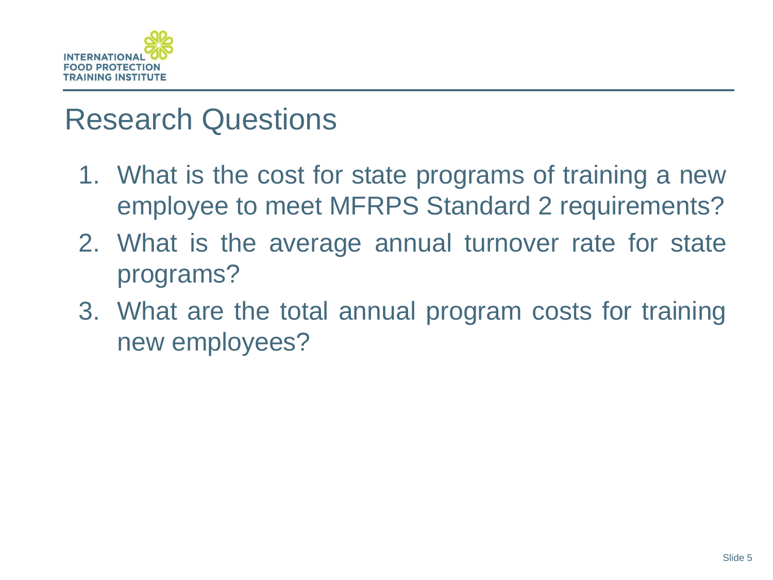

#### Research Questions

- 1. What is the cost for state programs of training a new employee to meet MFRPS Standard 2 requirements?
- 2. What is the average annual turnover rate for state programs?
- 3. What are the total annual program costs for training new employees?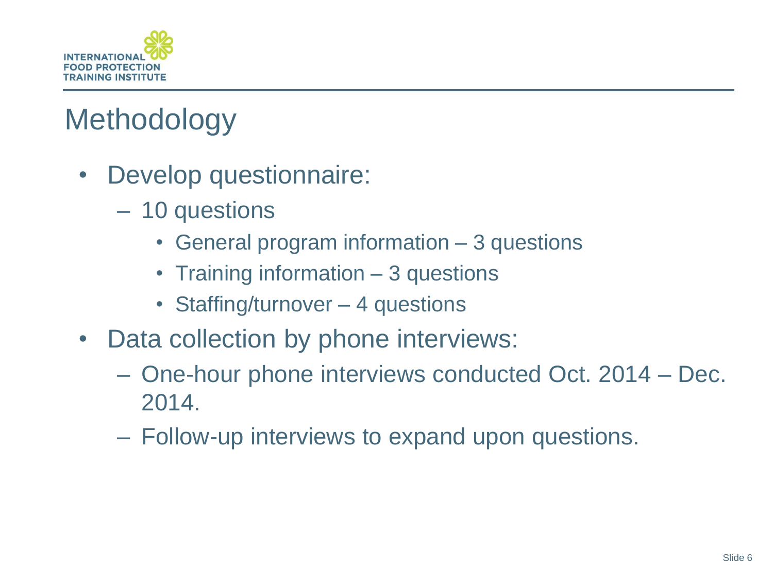

# **Methodology**

- Develop questionnaire:
	- 10 questions
		- General program information 3 questions
		- Training information 3 questions
		- Staffing/turnover 4 questions
- Data collection by phone interviews:
	- One-hour phone interviews conducted Oct. 2014 Dec. 2014.
	- Follow-up interviews to expand upon questions.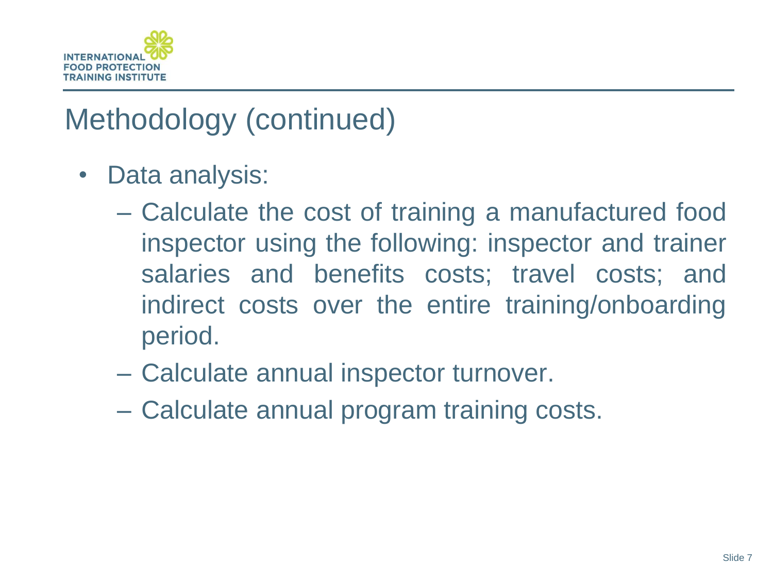

## Methodology (continued)

- Data analysis:
	- Calculate the cost of training a manufactured food inspector using the following: inspector and trainer salaries and benefits costs; travel costs; and indirect costs over the entire training/onboarding period.
	- Calculate annual inspector turnover.
	- Calculate annual program training costs.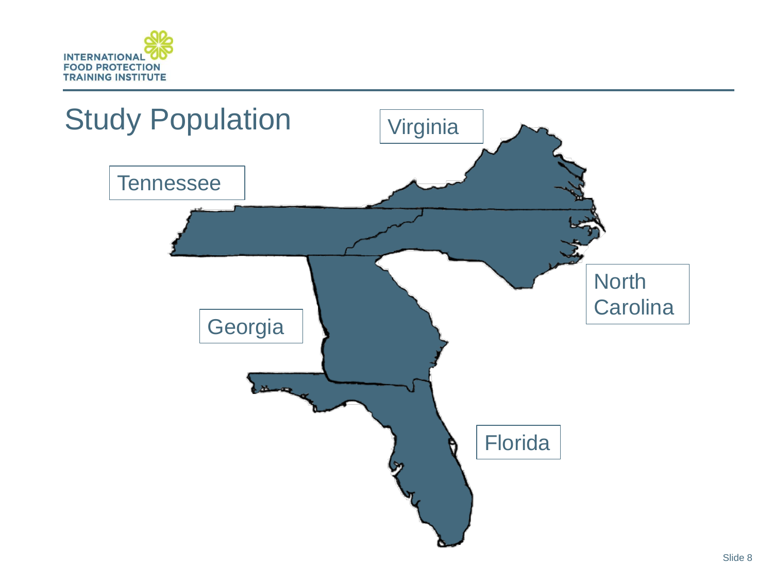

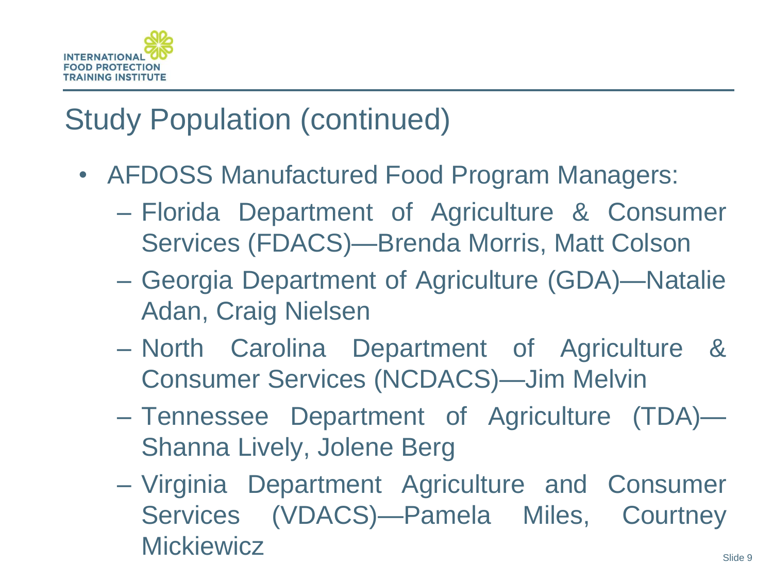

## Study Population (continued)

- AFDOSS Manufactured Food Program Managers:
	- ‒ Florida Department of Agriculture & Consumer Services (FDACS)—Brenda Morris, Matt Colson
	- ‒ Georgia Department of Agriculture (GDA)—Natalie Adan, Craig Nielsen
	- ‒ North Carolina Department of Agriculture & Consumer Services (NCDACS)—Jim Melvin
	- ‒ Tennessee Department of Agriculture (TDA)— Shanna Lively, Jolene Berg
	- ‒ Virginia Department Agriculture and Consumer Services (VDACS)—Pamela Miles, Courtney **Mickiewicz**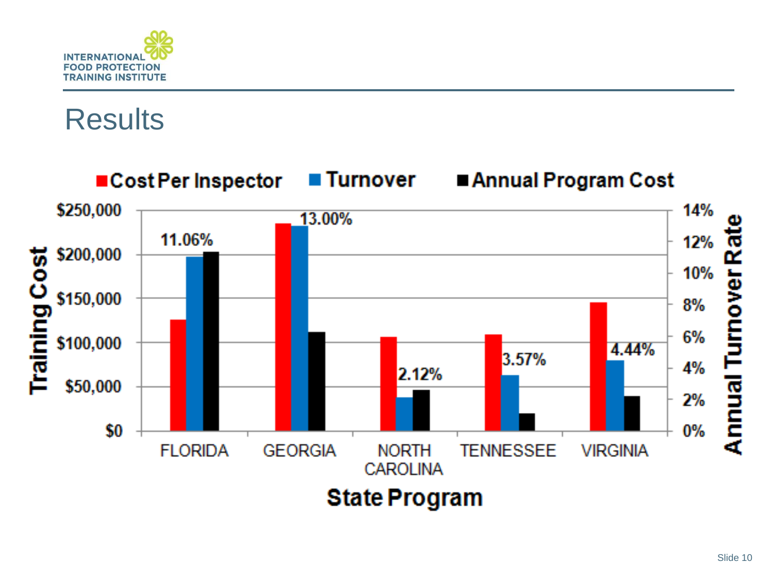

## **Results**



**State Program**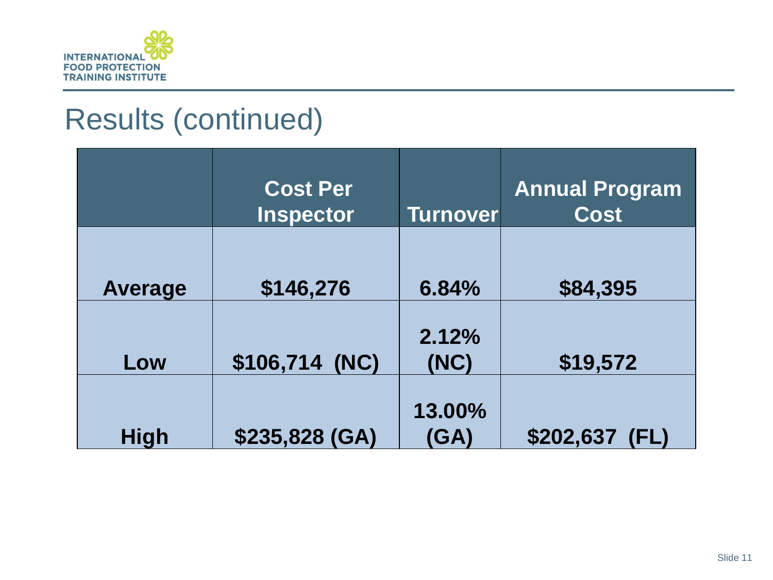

## Results (continued)

|             | <b>Cost Per</b><br><b>Inspector</b> | <b>Turnover</b> | <b>Annual Program</b><br><b>Cost</b> |
|-------------|-------------------------------------|-----------------|--------------------------------------|
| Average     | \$146,276                           | 6.84%           | \$84,395                             |
| Low         | \$106,714 (NC)                      | 2.12%<br>(NC)   | \$19,572                             |
| <b>High</b> | \$235,828 (GA)                      | 13.00%<br>(GA)  | \$202,637<br>(FL)                    |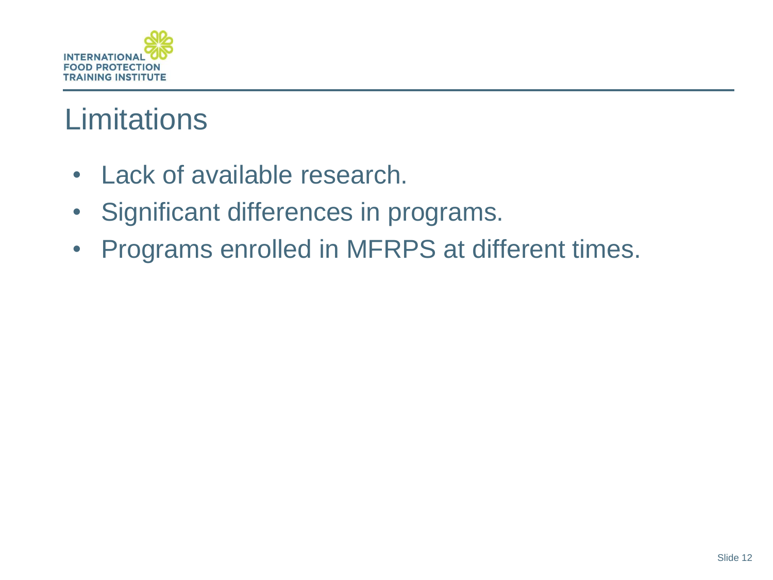

## **Limitations**

- Lack of available research.
- Significant differences in programs.
- Programs enrolled in MFRPS at different times.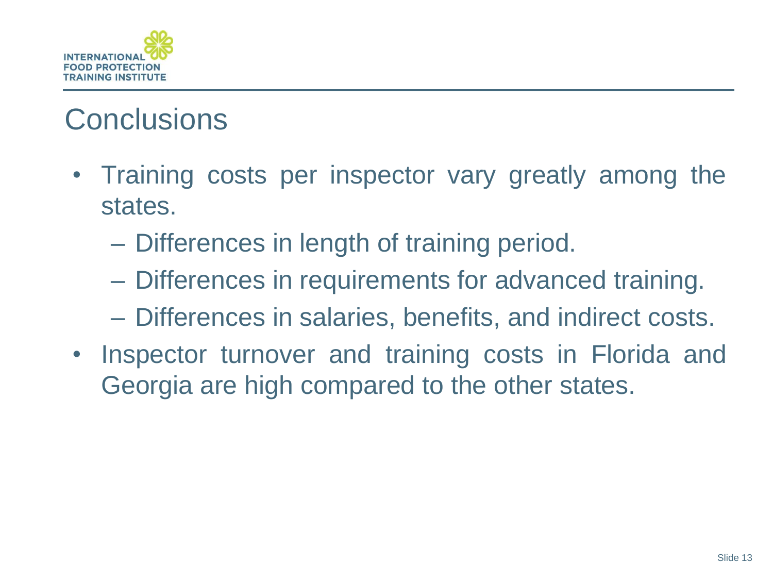

## **Conclusions**

- Training costs per inspector vary greatly among the states.
	- Differences in length of training period.
	- Differences in requirements for advanced training.
	- Differences in salaries, benefits, and indirect costs.
- Inspector turnover and training costs in Florida and Georgia are high compared to the other states.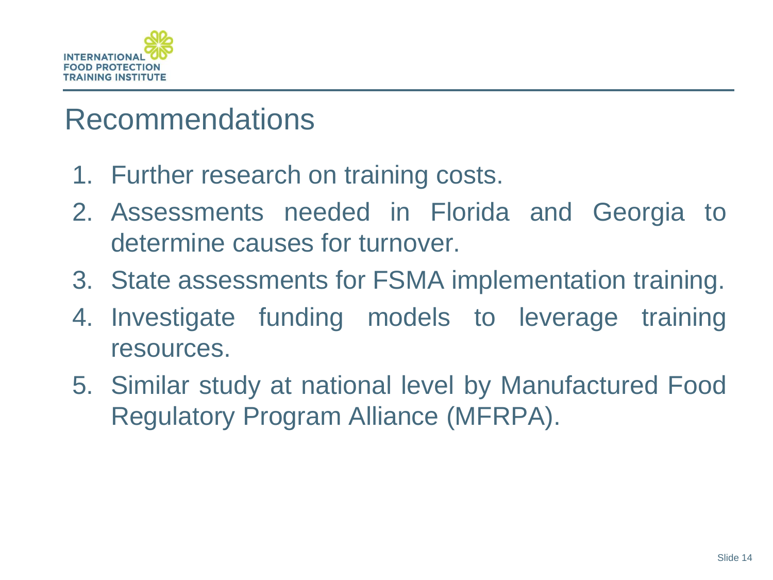

#### Recommendations

- 1. Further research on training costs.
- 2. Assessments needed in Florida and Georgia to determine causes for turnover.
- 3. State assessments for FSMA implementation training.
- 4. Investigate funding models to leverage training resources.
- 5. Similar study at national level by Manufactured Food Regulatory Program Alliance (MFRPA).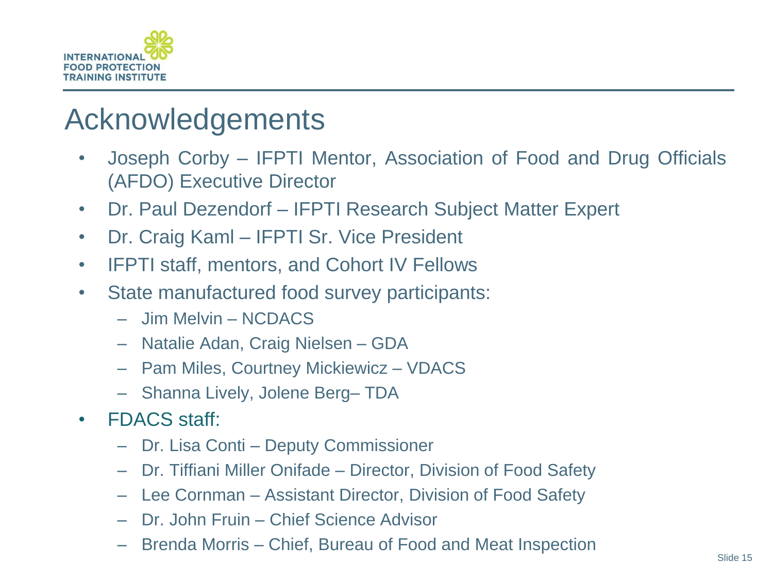

#### Acknowledgements

- Joseph Corby IFPTI Mentor, Association of Food and Drug Officials (AFDO) Executive Director
- Dr. Paul Dezendorf IFPTI Research Subject Matter Expert
- Dr. Craig Kaml IFPTI Sr. Vice President
- IFPTI staff, mentors, and Cohort IV Fellows
- State manufactured food survey participants:
	- Jim Melvin NCDACS
	- Natalie Adan, Craig Nielsen GDA
	- Pam Miles, Courtney Mickiewicz VDACS
	- Shanna Lively, Jolene Berg– TDA
- FDACS staff:
	- Dr. Lisa Conti Deputy Commissioner
	- Dr. Tiffiani Miller Onifade Director, Division of Food Safety
	- Lee Cornman Assistant Director, Division of Food Safety
	- Dr. John Fruin Chief Science Advisor
	- Brenda Morris Chief, Bureau of Food and Meat Inspection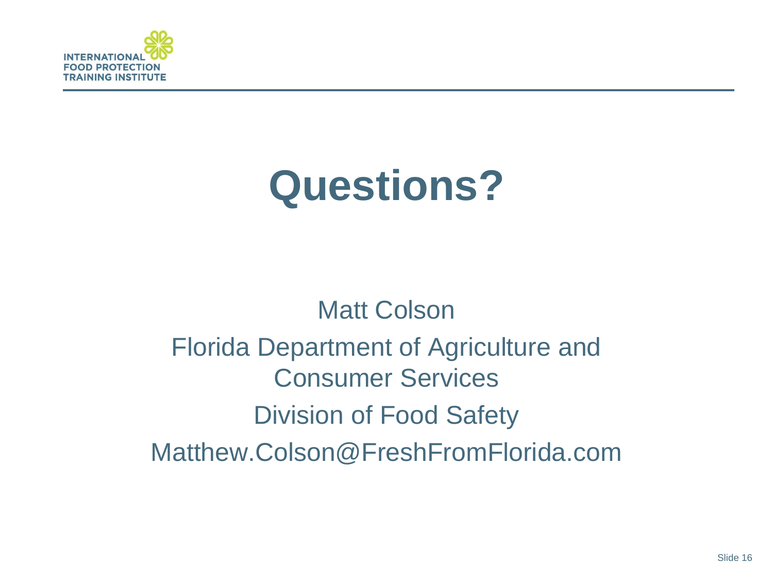

# **Questions?**

# Matt Colson Florida Department of Agriculture and Consumer Services Division of Food Safety Matthew.Colson@FreshFromFlorida.com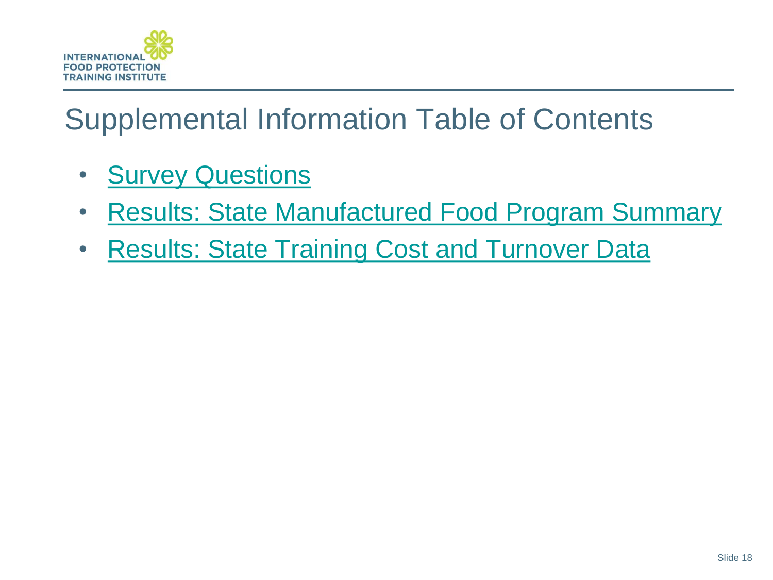

# Supplemental Information Table of Contents

- [Survey](#page-18-0) [Questions](#page-18-0)
- [Results:](#page-19-0) [State](#page-19-0) [Manufactured](#page-19-0) [Food](#page-19-0) [Program](#page-19-0) [Summary](#page-19-0)
- <span id="page-17-0"></span>• [Results:](#page-20-0) [State](#page-20-0) [Training](#page-20-0) [Cost](#page-20-0) [and](#page-20-0) [Turnover](#page-20-0) [Data](#page-20-0)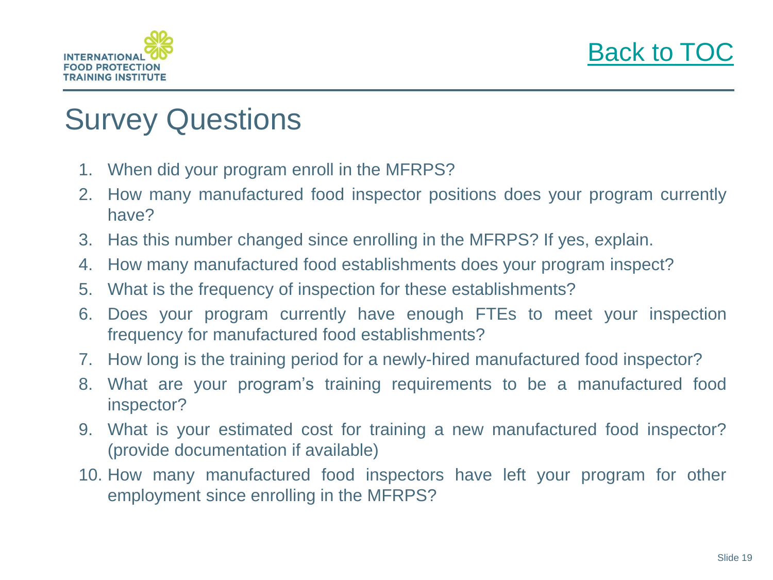



#### Survey Questions

- 1. When did your program enroll in the MFRPS?
- 2. How many manufactured food inspector positions does your program currently have?
- 3. Has this number changed since enrolling in the MFRPS? If yes, explain.
- 4. How many manufactured food establishments does your program inspect?
- 5. What is the frequency of inspection for these establishments?
- 6. Does your program currently have enough FTEs to meet your inspection frequency for manufactured food establishments?
- 7. How long is the training period for a newly-hired manufactured food inspector?
- 8. What are your program's training requirements to be a manufactured food inspector?
- 9. What is your estimated cost for training a new manufactured food inspector? (provide documentation if available)
- <span id="page-18-0"></span>10. How many manufactured food inspectors have left your program for other employment since enrolling in the MFRPS?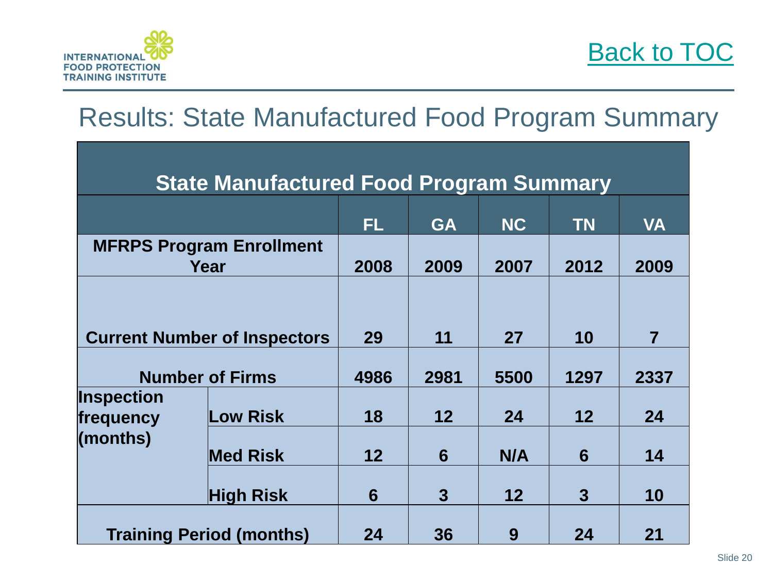

#### Results: State Manufactured Food Program Summary

<span id="page-19-0"></span>

| <b>State Manufactured Food Program Summary</b> |                  |      |              |           |              |                |  |  |
|------------------------------------------------|------------------|------|--------------|-----------|--------------|----------------|--|--|
|                                                |                  | FL.  | <b>GA</b>    | <b>NC</b> | <b>TN</b>    | <b>VA</b>      |  |  |
| <b>MFRPS Program Enrollment</b><br>Year        |                  | 2008 | 2009         | 2007      | 2012         | 2009           |  |  |
|                                                |                  |      |              |           |              |                |  |  |
| <b>Current Number of Inspectors</b>            |                  | 29   | 11           | <b>27</b> | 10           | $\overline{7}$ |  |  |
| <b>Number of Firms</b>                         |                  | 4986 | 2981         | 5500      | 1297         | 2337           |  |  |
| <b>Inspection</b><br>frequency<br>(months)     | ow Risk.         | 18   | 12           | 24        | 12           | 24             |  |  |
|                                                | <b>Med Risk</b>  | 12   | 6            | N/A       | 6            | 14             |  |  |
|                                                | <b>High Risk</b> | 6    | $\mathbf{3}$ | 12        | $\mathbf{3}$ | 10             |  |  |
| <b>Training Period (months)</b>                |                  | 24   | 36           | 9         | 24           | 21             |  |  |